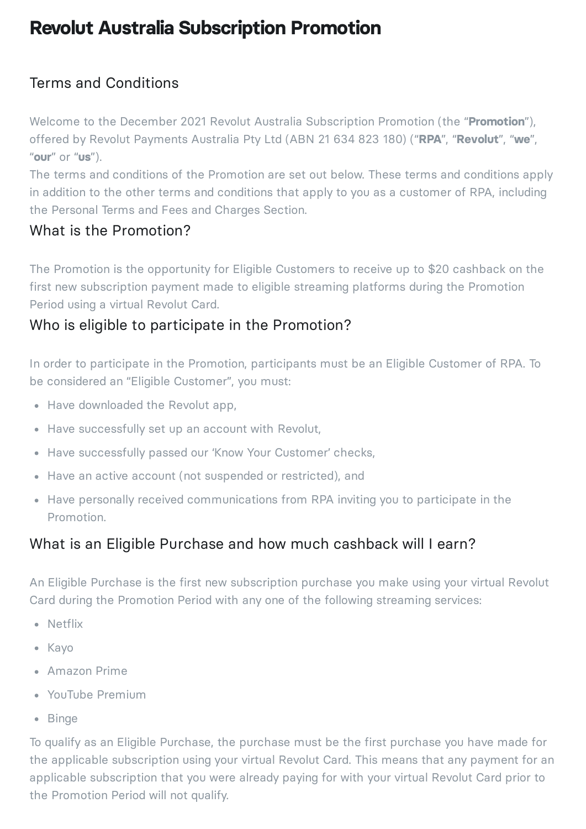# **Revolut Australia Subscription Promotion**

# Terms and Conditions

Welcome to the December 2021 Revolut Australia Subscription Promotion (the "**Promotion**"), offered by Revolut Payments Australia Pty Ltd (ABN 21 634 823 180) ("**RPA**", "**Revolut**", "**we**", "**our**" or "**us**").

The terms and conditions of the Promotion are set out below. These terms and conditions apply in addition to the other terms and conditions that apply to you as a customer of RPA, including the Personal Terms and Fees and Charges Section.

### What is the Promotion?

The Promotion is the opportunity for Eligible Customers to receive up to \$20 cashback on the first new subscription payment made to eligible streaming platforms during the Promotion Period using a virtual Revolut Card.

# Who is eligible to participate in the Promotion?

In order to participate in the Promotion, participants must be an Eligible Customer of RPA. To be considered an "Eligible Customer", you must:

- Have downloaded the Revolut app,
- Have successfully set up an account with Revolut,
- Have successfully passed our 'Know Your Customer' checks,
- Have an active account (not suspended or restricted), and
- Have personally received communications from RPA inviting you to participate in the Promotion.

## What is an Eligible Purchase and how much cashback will I earn?

An Eligible Purchase is the first new subscription purchase you make using your virtual Revolut Card during the Promotion Period with any one of the following streaming services:

- Netflix
- Kayo
- Amazon Prime
- YouTube Premium
- Binge

To qualify as an Eligible Purchase, the purchase must be the first purchase you have made for the applicable subscription using your virtual Revolut Card. This means that any payment for an applicable subscription that you were already paying for with your virtual Revolut Card prior to the Promotion Period will not qualify.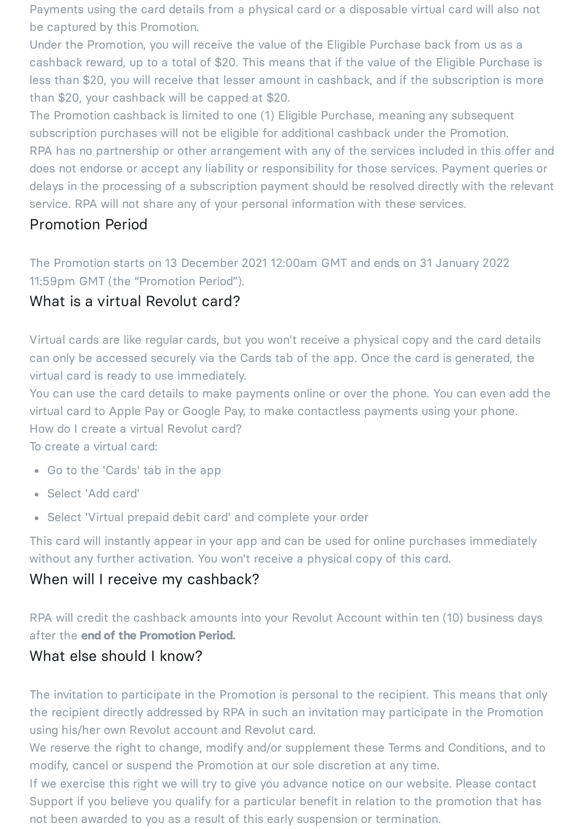Payments using the card details from a physical card or a disposable virtual card will also not be captured by this Promotion.

Under the Promotion, you will receive the value of the Eligible Purchase back from us as a cashback reward, up to a total of \$20. This means that if the value of the Eligible Purchase is less than \$20, you will receive that lesser amount in cashback, and if the subscription is more than \$20, your cashback will be capped at \$20.

The Promotion cashback is limited to one (1) Eligible Purchase, meaning any subsequent subscription purchases will not be eligible for additional cashback under the Promotion. RPA has no partnership or other arrangement with any of the services included in this offer and does not endorse or accept any liability or responsibility for those services. Payment queries or delays in the processing of a subscription payment should be resolved directly with the relevant service. RPA will not share any of your personal information with these services.

# Promotion Period

The Promotion starts on 13 December 2021 12:00am GMT and ends on 31 January 2022 11:59pm GMT (the "Promotion Period").

## What is a virtual Revolut card?

Virtual cards are like regular cards, but you won't receive a physical copy and the card details can only be accessed securely via the Cards tab of the app. Once the card is generated, the virtual card is ready to use immediately.

You can use the card details to make payments online or over the phone. You can even add the virtual card to Apple Pay or Google Pay, to make contactless payments using your phone. How do I create a virtual Revolut card?

To create a virtual card:

- Go to the 'Cards' tab in the app
- Select 'Add card'
- Select 'Virtual prepaid debit card' and complete your order

This card will instantly appear in your app and can be used for online purchases immediately without any further activation. You won't receive a physical copy of this card.

#### When will I receive my cashback?

RPA will credit the cashback amounts into your Revolut Account within ten (10) business days after the **end of the Promotion Period.**

## What else should I know?

The invitation to participate in the Promotion is personal to the recipient. This means that only the recipient directly addressed by RPA in such an invitation may participate in the Promotion using his/her own Revolut account and Revolut card.

We reserve the right to change, modify and/or supplement these Terms and Conditions, and to modify, cancel or suspend the Promotion at our sole discretion at any time.

If we exercise this right we will try to give you advance notice on our website. Please contact Support if you believe you qualify for a particular benefit in relation to the promotion that has not been awarded to you as a result of this early suspension or termination.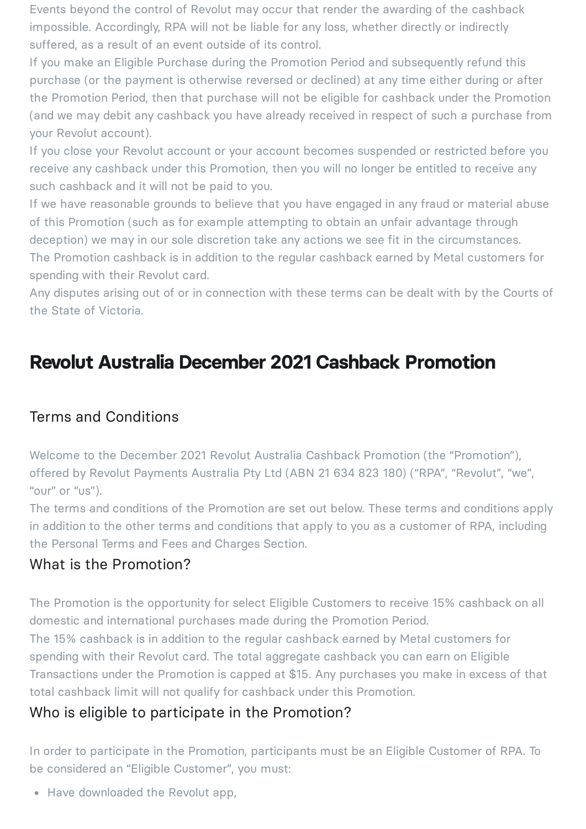Events beyond the control of Revolut may occur that render the awarding of the cashback impossible. Accordingly, RPA will not be liable for any loss, whether directly or indirectly suffered, as a result of an event outside of its control.

If you make an Eligible Purchase during the Promotion Period and subsequently refund this purchase (or the payment is otherwise reversed or declined) at any time either during or after the Promotion Period, then that purchase will not be eligible for cashback under the Promotion (and we may debit any cashback you have already received in respect of such a purchase from your Revolut account).

If you close your Revolut account or your account becomes suspended or restricted before you receive any cashback under this Promotion, then you will no longer be entitled to receive any such cashback and it will not be paid to you.

If we have reasonable grounds to believe that you have engaged in any fraud or material abuse of this Promotion (such as for example attempting to obtain an unfair advantage through deception) we may in our sole discretion take any actions we see fit in the circumstances. The Promotion cashback is in addition to the regular cashback earned by Metal customers for spending with their Revolut card.

Any disputes arising out of or in connection with these terms can be dealt with by the Courts of the State of Victoria.

# **Revolut Australia December 2021 Cashback Promotion**

#### Terms and Conditions

Welcome to the December 2021 Revolut Australia Cashback Promotion (the "Promotion"), offered by Revolut Payments Australia Pty Ltd (ABN 21 634 823 180) ("RPA", "Revolut", "we", "our" or "us").

The terms and conditions of the Promotion are set out below. These terms and conditions apply in addition to the other terms and conditions that apply to you as a customer of RPA, including the Personal Terms and Fees and Charges Section.

## What is the Promotion?

The Promotion is the opportunity for select Eligible Customers to receive 15% cashback on all domestic and international purchases made during the Promotion Period. The 15% cashback is in addition to the regular cashback earned by Metal customers for spending with their Revolut card. The total aggregate cashback you can earn on Eligible Transactions under the Promotion is capped at \$15. Any purchases you make in excess of that total cashback limit will not qualify for cashback under this Promotion.

# Who is eligible to participate in the Promotion?

In order to participate in the Promotion, participants must be an Eligible Customer of RPA. To be considered an "Eligible Customer", you must:

• Have downloaded the Revolut app,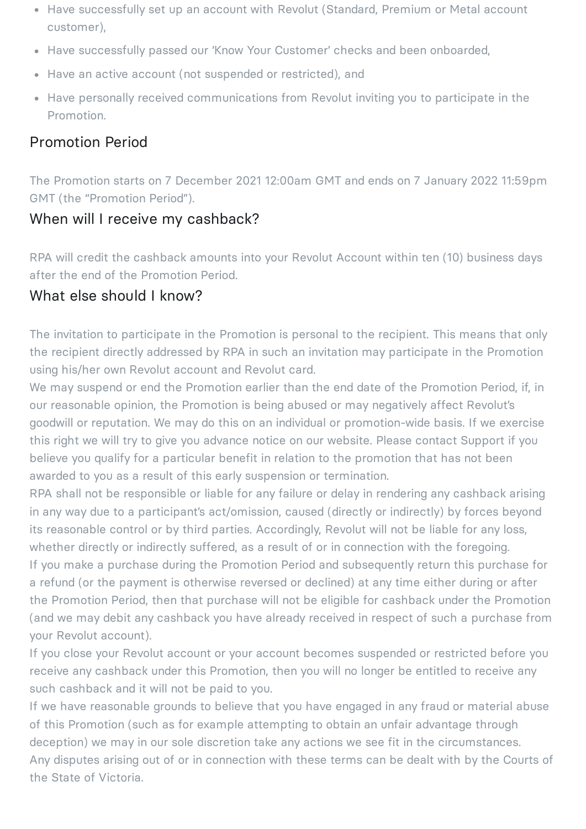- Have successfully set up an account with Revolut (Standard, Premium or Metal account customer),
- Have successfully passed our 'Know Your Customer' checks and been onboarded,
- Have an active account (not suspended or restricted), and
- Have personally received communications from Revolut inviting you to participate in the Promotion.

#### Promotion Period

The Promotion starts on 7 December 2021 12:00am GMT and ends on 7 January 2022 11:59pm GMT (the "Promotion Period").

#### When will I receive my cashback?

RPA will credit the cashback amounts into your Revolut Account within ten (10) business days after the end of the Promotion Period.

#### What else should I know?

The invitation to participate in the Promotion is personal to the recipient. This means that only the recipient directly addressed by RPA in such an invitation may participate in the Promotion using his/her own Revolut account and Revolut card.

We may suspend or end the Promotion earlier than the end date of the Promotion Period, if, in our reasonable opinion, the Promotion is being abused or may negatively affect Revolut's goodwill or reputation. We may do this on an individual or promotion-wide basis. If we exercise this right we will try to give you advance notice on our website. Please contact Support if you believe you qualify for a particular benefit in relation to the promotion that has not been awarded to you as a result of this early suspension or termination.

RPA shall not be responsible or liable for any failure or delay in rendering any cashback arising in any way due to a participant's act/omission, caused (directly or indirectly) by forces beyond its reasonable control or by third parties. Accordingly, Revolut will not be liable for any loss, whether directly or indirectly suffered, as a result of or in connection with the foregoing. If you make a purchase during the Promotion Period and subsequently return this purchase for a refund (or the payment is otherwise reversed or declined) at any time either during or after

the Promotion Period, then that purchase will not be eligible for cashback under the Promotion (and we may debit any cashback you have already received in respect of such a purchase from your Revolut account).

If you close your Revolut account or your account becomes suspended or restricted before you receive any cashback under this Promotion, then you will no longer be entitled to receive any such cashback and it will not be paid to you.

If we have reasonable grounds to believe that you have engaged in any fraud or material abuse of this Promotion (such as for example attempting to obtain an unfair advantage through deception) we may in our sole discretion take any actions we see fit in the circumstances. Any disputes arising out of or in connection with these terms can be dealt with by the Courts of the State of Victoria.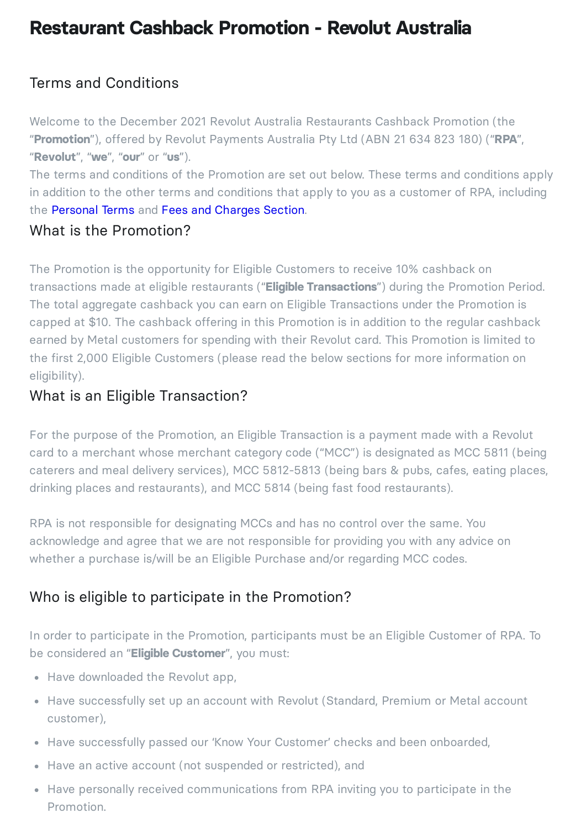# **Restaurant Cashback Promotion - Revolut Australia**

# Terms and Conditions

Welcome to the December 2021 Revolut Australia Restaurants Cashback Promotion (the "**Promotion**"), offered by Revolut Payments Australia Pty Ltd (ABN 21 634 823 180) ("**RPA**", "**Revolut**", "**we**", "**our**" or "**us**").

The terms and conditions of the Promotion are set out below. These terms and conditions apply in addition to the other terms and conditions that apply to you as a customer of RPA, including the [Personal](https://www.revolut.com/en-AU/legal/terms) Terms and Fees and [Charges](https://www.revolut.com/en-AU/legal/fees) Section.

#### What is the Promotion?

The Promotion is the opportunity for Eligible Customers to receive 10% cashback on transactions made at eligible restaurants ("**Eligible Transactions**") during the Promotion Period. The total aggregate cashback you can earn on Eligible Transactions under the Promotion is capped at \$10. The cashback offering in this Promotion is in addition to the regular cashback earned by Metal customers for spending with their Revolut card. This Promotion is limited to the first 2,000 Eligible Customers (please read the below sections for more information on eligibility).

### What is an Eligible Transaction?

For the purpose of the Promotion, an Eligible Transaction is a payment made with a Revolut card to a merchant whose merchant category code ("MCC") is designated as MCC 5811 (being caterers and meal delivery services), MCC 5812-5813 (being bars & pubs, cafes, eating places, drinking places and restaurants), and MCC 5814 (being fast food restaurants).

RPA is not responsible for designating MCCs and has no control over the same. You acknowledge and agree that we are not responsible for providing you with any advice on whether a purchase is/will be an Eligible Purchase and/or regarding MCC codes.

# Who is eligible to participate in the Promotion?

In order to participate in the Promotion, participants must be an Eligible Customer of RPA. To be considered an "**Eligible Customer**", you must:

- Have downloaded the Revolut app,
- Have successfully set up an account with Revolut (Standard, Premium or Metal account customer),
- Have successfully passed our 'Know Your Customer' checks and been onboarded,
- Have an active account (not suspended or restricted), and
- Have personally received communications from RPA inviting you to participate in the Promotion.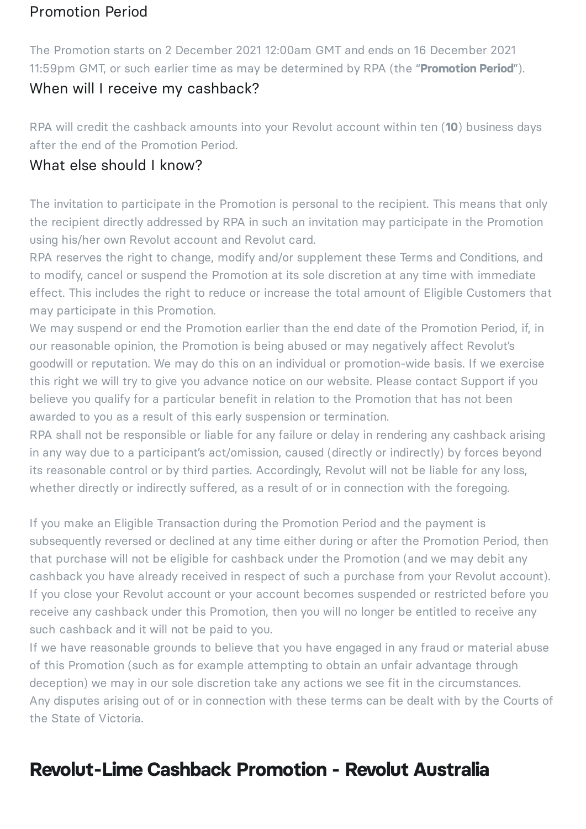### Promotion Period

The Promotion starts on 2 December 2021 12:00am GMT and ends on 16 December 2021 11:59pm GMT, or such earlier time as may be determined by RPA (the "**Promotion Period**").

### When will I receive my cashback?

RPA will credit the cashback amounts into your Revolut account within ten (**10**) business days after the end of the Promotion Period.

#### What else should I know?

The invitation to participate in the Promotion is personal to the recipient. This means that only the recipient directly addressed by RPA in such an invitation may participate in the Promotion using his/her own Revolut account and Revolut card.

RPA reserves the right to change, modify and/or supplement these Terms and Conditions, and to modify, cancel or suspend the Promotion at its sole discretion at any time with immediate effect. This includes the right to reduce or increase the total amount of Eligible Customers that may participate in this Promotion.

We may suspend or end the Promotion earlier than the end date of the Promotion Period, if, in our reasonable opinion, the Promotion is being abused or may negatively affect Revolut's goodwill or reputation. We may do this on an individual or promotion-wide basis. If we exercise this right we will try to give you advance notice on our website. Please contact Support if you believe you qualify for a particular benefit in relation to the Promotion that has not been awarded to you as a result of this early suspension or termination.

RPA shall not be responsible or liable for any failure or delay in rendering any cashback arising in any way due to a participant's act/omission, caused (directly or indirectly) by forces beyond its reasonable control or by third parties. Accordingly, Revolut will not be liable for any loss, whether directly or indirectly suffered, as a result of or in connection with the foregoing.

If you make an Eligible Transaction during the Promotion Period and the payment is subsequently reversed or declined at any time either during or after the Promotion Period, then that purchase will not be eligible for cashback under the Promotion (and we may debit any cashback you have already received in respect of such a purchase from your Revolut account). If you close your Revolut account or your account becomes suspended or restricted before you receive any cashback under this Promotion, then you will no longer be entitled to receive any such cashback and it will not be paid to you.

If we have reasonable grounds to believe that you have engaged in any fraud or material abuse of this Promotion (such as for example attempting to obtain an unfair advantage through deception) we may in our sole discretion take any actions we see fit in the circumstances. Any disputes arising out of or in connection with these terms can be dealt with by the Courts of the State of Victoria.

# **Revolut-Lime Cashback Promotion - Revolut Australia**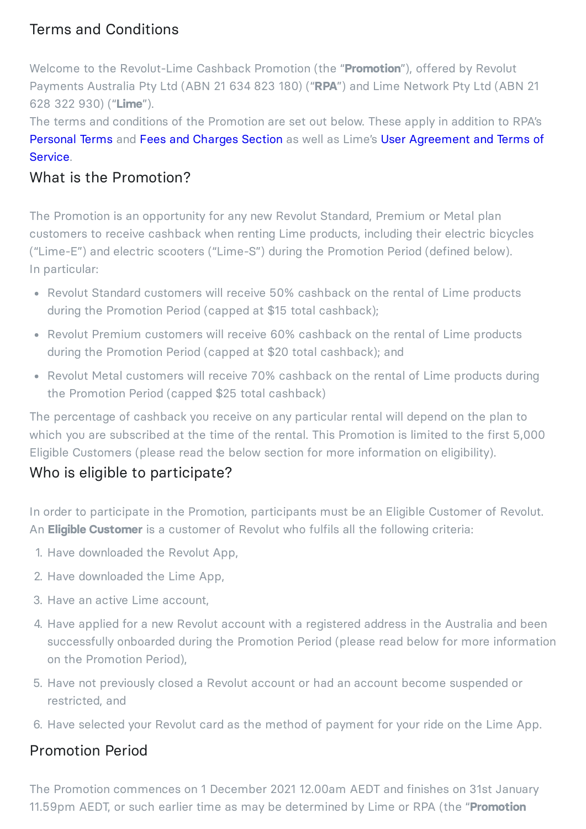# Terms and Conditions

Welcome to the Revolut-Lime Cashback Promotion (the "**Promotion**"), offered by Revolut Payments Australia Pty Ltd (ABN 21 634 823 180) ("**RPA**") and Lime Network Pty Ltd (ABN 21 628 322 930) ("**Lime**").

The terms and conditions of the Promotion are set out below. These apply in addition to RPA's [Personal](https://www.revolut.com/en-AU/legal/terms) Terms and Fees and [Charges](https://www.revolut.com/en-AU/legal/fees) Section as well as Lime's User [Agreement](https://www.li.me/user-agreement/au) and Terms of Service.

## What is the Promotion?

The Promotion is an opportunity for any new Revolut Standard, Premium or Metal plan customers to receive cashback when renting Lime products, including their electric bicycles ("Lime-E") and electric scooters ("Lime-S") during the Promotion Period (defined below). In particular:

- Revolut Standard customers will receive 50% cashback on the rental of Lime products during the Promotion Period (capped at \$15 total cashback);
- Revolut Premium customers will receive 60% cashback on the rental of Lime products during the Promotion Period (capped at \$20 total cashback); and
- Revolut Metal customers will receive 70% cashback on the rental of Lime products during the Promotion Period (capped \$25 total cashback)

The percentage of cashback you receive on any particular rental will depend on the plan to which you are subscribed at the time of the rental. This Promotion is limited to the first 5,000 Eligible Customers (please read the below section for more information on eligibility).

# Who is eligible to participate?

In order to participate in the Promotion, participants must be an Eligible Customer of Revolut. An **Eligible Customer** is a customer of Revolut who fulfils all the following criteria:

- 1. Have downloaded the Revolut App,
- 2. Have downloaded the Lime App,
- 3. Have an active Lime account,
- 4. Have applied for a new Revolut account with a registered address in the Australia and been successfully onboarded during the Promotion Period (please read below for more information on the Promotion Period),
- 5. Have not previously closed a Revolut account or had an account become suspended or restricted, and
- 6. Have selected your Revolut card as the method of payment for your ride on the Lime App.

#### Promotion Period

The Promotion commences on 1 December 2021 12.00am AEDT and finishes on 31st January 11.59pm AEDT, or such earlier time as may be determined by Lime or RPA (the "**Promotion**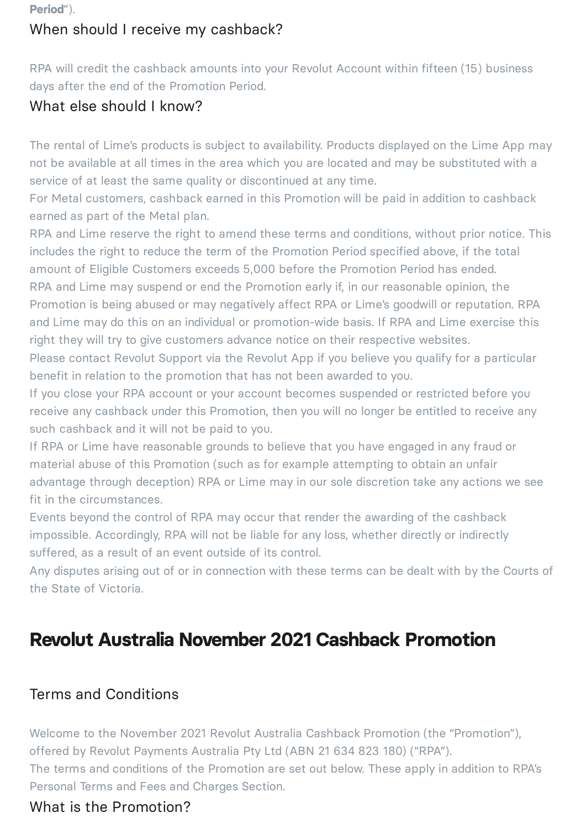**Period**").

## When should I receive my cashback?

RPA will credit the cashback amounts into your Revolut Account within fifteen (15) business days after the end of the Promotion Period.

## What else should I know?

The rental of Lime's products is subject to availability. Products displayed on the Lime App may not be available at all times in the area which you are located and may be substituted with a service of at least the same quality or discontinued at any time.

For Metal customers, cashback earned in this Promotion will be paid in addition to cashback earned as part of the Metal plan.

RPA and Lime reserve the right to amend these terms and conditions, without prior notice. This includes the right to reduce the term of the Promotion Period specified above, if the total amount of Eligible Customers exceeds 5,000 before the Promotion Period has ended.

RPA and Lime may suspend or end the Promotion early if, in our reasonable opinion, the Promotion is being abused or may negatively affect RPA or Lime's goodwill or reputation. RPA and Lime may do this on an individual or promotion-wide basis. If RPA and Lime exercise this right they will try to give customers advance notice on their respective websites.

Please contact Revolut Support via the Revolut App if you believe you qualify for a particular benefit in relation to the promotion that has not been awarded to you.

If you close your RPA account or your account becomes suspended or restricted before you receive any cashback under this Promotion, then you will no longer be entitled to receive any such cashback and it will not be paid to you.

If RPA or Lime have reasonable grounds to believe that you have engaged in any fraud or material abuse of this Promotion (such as for example attempting to obtain an unfair advantage through deception) RPA or Lime may in our sole discretion take any actions we see fit in the circumstances.

Events beyond the control of RPA may occur that render the awarding of the cashback impossible. Accordingly, RPA will not be liable for any loss, whether directly or indirectly suffered, as a result of an event outside of its control.

Any disputes arising out of or in connection with these terms can be dealt with by the Courts of the State of Victoria.

# **Revolut Australia November 2021 Cashback Promotion**

## Terms and Conditions

Welcome to the November 2021 Revolut Australia Cashback Promotion (the "Promotion"), offered by Revolut Payments Australia Pty Ltd (ABN 21 634 823 180) ("RPA"). The terms and conditions of the Promotion are set out below. These apply in addition to RPA's Personal Terms and Fees and Charges Section.

#### What is the Promotion?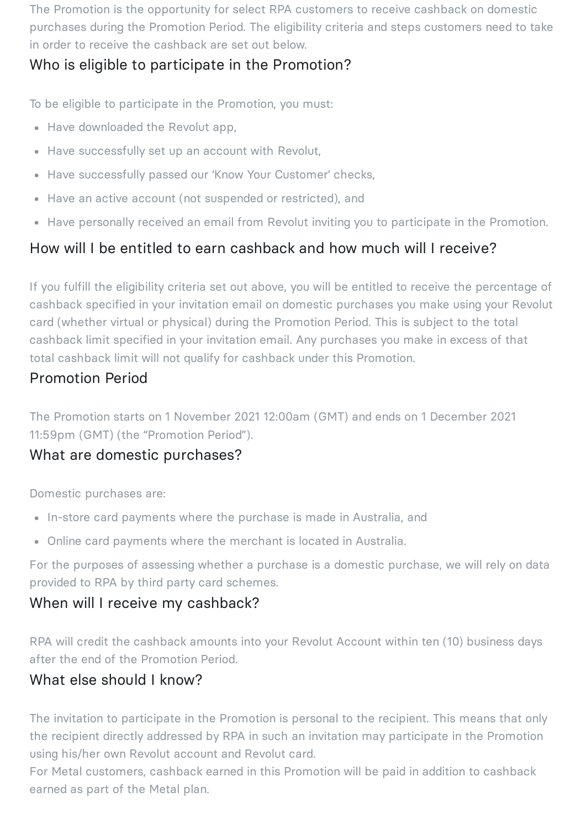The Promotion is the opportunity for select RPA customers to receive cashback on domestic purchases during the Promotion Period. The eligibility criteria and steps customers need to take in order to receive the cashback are set out below.

## Who is eligible to participate in the Promotion?

To be eligible to participate in the Promotion, you must:

- Have downloaded the Revolut app,
- Have successfully set up an account with Revolut,
- Have successfully passed our 'Know Your Customer' checks,
- Have an active account (not suspended or restricted), and
- Have personally received an email from Revolut inviting you to participate in the Promotion.

# How will I be entitled to earn cashback and how much will I receive?

If you fulfill the eligibility criteria set out above, you will be entitled to receive the percentage of cashback specified in your invitation email on domestic purchases you make using your Revolut card (whether virtual or physical) during the Promotion Period. This is subject to the total cashback limit specified in your invitation email. Any purchases you make in excess of that total cashback limit will not qualify for cashback under this Promotion.

## Promotion Period

The Promotion starts on 1 November 2021 12:00am (GMT) and ends on 1 December 2021 11:59pm (GMT) (the "Promotion Period").

## What are domestic purchases?

Domestic purchases are:

- In-store card payments where the purchase is made in Australia, and
- Online card payments where the merchant is located in Australia.

For the purposes of assessing whether a purchase is a domestic purchase, we will rely on data provided to RPA by third party card schemes.

#### When will I receive my cashback?

RPA will credit the cashback amounts into your Revolut Account within ten (10) business days after the end of the Promotion Period.

#### What else should I know?

The invitation to participate in the Promotion is personal to the recipient. This means that only the recipient directly addressed by RPA in such an invitation may participate in the Promotion using his/her own Revolut account and Revolut card.

For Metal customers, cashback earned in this Promotion will be paid in addition to cashback earned as part of the Metal plan.